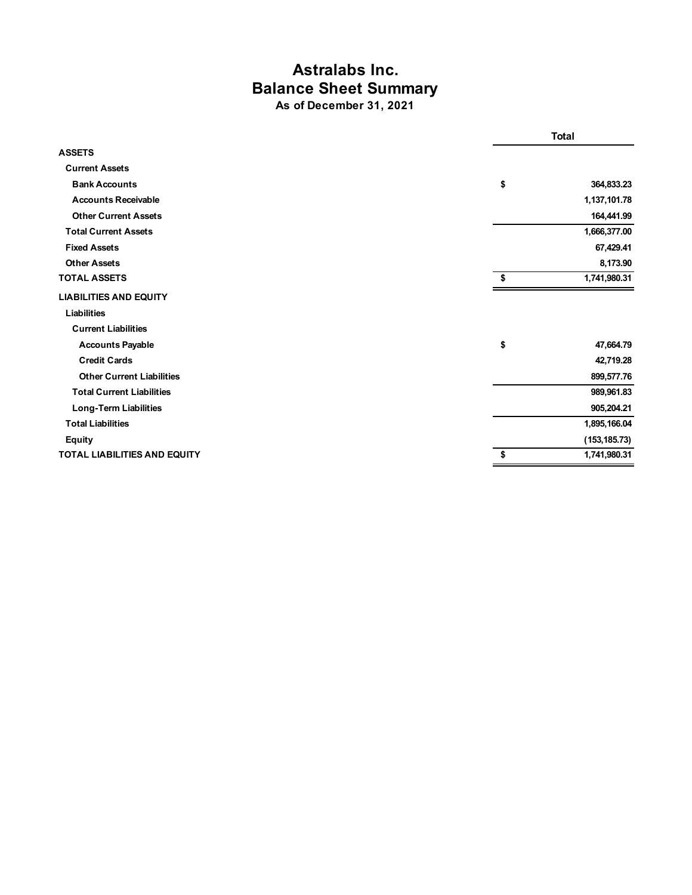## **Astralabs Inc. Balance Sheet Summary As of December 31, 2021**

|                                     |    | <b>Total</b>  |  |
|-------------------------------------|----|---------------|--|
| <b>ASSETS</b>                       |    |               |  |
| <b>Current Assets</b>               |    |               |  |
| <b>Bank Accounts</b>                | \$ | 364,833.23    |  |
| <b>Accounts Receivable</b>          |    | 1,137,101.78  |  |
| <b>Other Current Assets</b>         |    | 164,441.99    |  |
| <b>Total Current Assets</b>         |    | 1,666,377.00  |  |
| <b>Fixed Assets</b>                 |    | 67,429.41     |  |
| <b>Other Assets</b>                 |    | 8,173.90      |  |
| <b>TOTAL ASSETS</b>                 | \$ | 1,741,980.31  |  |
| <b>LIABILITIES AND EQUITY</b>       |    |               |  |
| Liabilities                         |    |               |  |
| <b>Current Liabilities</b>          |    |               |  |
| <b>Accounts Payable</b>             | \$ | 47,664.79     |  |
| <b>Credit Cards</b>                 |    | 42,719.28     |  |
| <b>Other Current Liabilities</b>    |    | 899,577.76    |  |
| <b>Total Current Liabilities</b>    |    | 989,961.83    |  |
| Long-Term Liabilities               |    | 905,204.21    |  |
| <b>Total Liabilities</b>            |    | 1,895,166.04  |  |
| <b>Equity</b>                       |    | (153, 185.73) |  |
| <b>TOTAL LIABILITIES AND EQUITY</b> | \$ | 1,741,980.31  |  |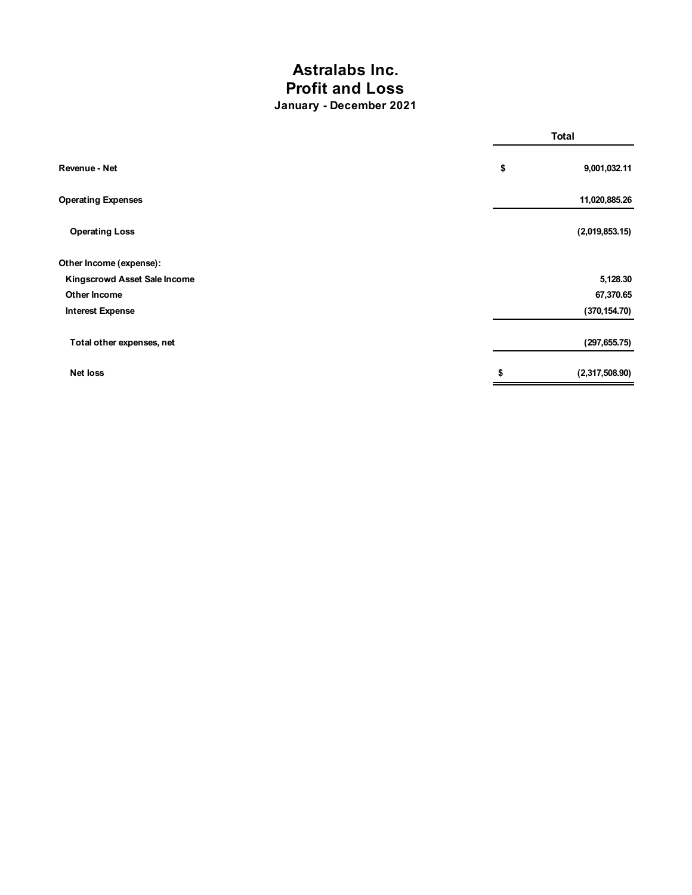## **Astralabs Inc. Profit and Loss January - December 2021**

|                              |    | <b>Total</b>   |  |
|------------------------------|----|----------------|--|
| Revenue - Net                | \$ | 9,001,032.11   |  |
| <b>Operating Expenses</b>    |    | 11,020,885.26  |  |
| <b>Operating Loss</b>        |    | (2,019,853.15) |  |
| Other Income (expense):      |    |                |  |
| Kingscrowd Asset Sale Income |    | 5,128.30       |  |
| Other Income                 |    | 67,370.65      |  |
| <b>Interest Expense</b>      |    | (370, 154.70)  |  |
| Total other expenses, net    |    | (297, 655.75)  |  |
| <b>Net loss</b>              | \$ | (2,317,508.90) |  |